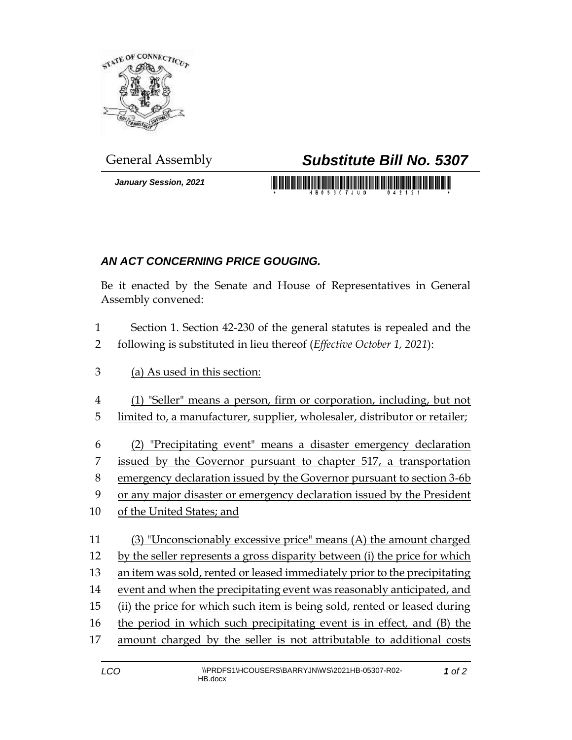

*January Session, 2021*

## General Assembly *Substitute Bill No. 5307*

<u> 1999 - Johann Maria Maria Maria Maria Maria Maria Maria Maria Maria Maria Maria Maria Maria Maria Maria Maria</u>

## *AN ACT CONCERNING PRICE GOUGING.*

Be it enacted by the Senate and House of Representatives in General Assembly convened:

- Section 1. Section 42-230 of the general statutes is repealed and the following is substituted in lieu thereof (*Effective October 1, 2021*):
- (a) As used in this section:
- (1) "Seller" means a person, firm or corporation, including, but not
- limited to, a manufacturer, supplier, wholesaler, distributor or retailer;
- (2) "Precipitating event" means a disaster emergency declaration
- issued by the Governor pursuant to chapter 517, a transportation
- emergency declaration issued by the Governor pursuant to section 3-6b
- or any major disaster or emergency declaration issued by the President
- of the United States; and
- (3) "Unconscionably excessive price" means (A) the amount charged by the seller represents a gross disparity between (i) the price for which an item was sold, rented or leased immediately prior to the precipitating event and when the precipitating event was reasonably anticipated, and (ii) the price for which such item is being sold, rented or leased during the period in which such precipitating event is in effect*,* and (B) the amount charged by the seller is not attributable to additional costs